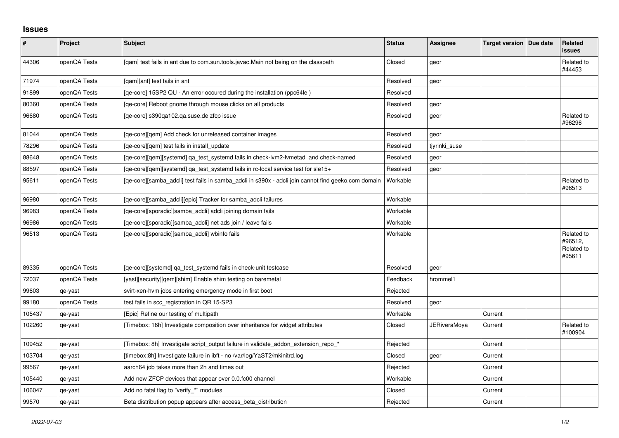## **Issues**

| $\sharp$ | Project      | <b>Subject</b>                                                                                      | <b>Status</b> | <b>Assignee</b> | Target version   Due date | Related<br><b>issues</b>                      |
|----------|--------------|-----------------------------------------------------------------------------------------------------|---------------|-----------------|---------------------------|-----------------------------------------------|
| 44306    | openQA Tests | [qam] test fails in ant due to com.sun.tools.javac.Main not being on the classpath                  | Closed        | geor            |                           | Related to<br>#44453                          |
| 71974    | openQA Tests | [qam][ant] test fails in ant                                                                        | Resolved      | geor            |                           |                                               |
| 91899    | openQA Tests | [qe-core] 15SP2 QU - An error occured during the installation (ppc64le)                             | Resolved      |                 |                           |                                               |
| 80360    | openQA Tests | [qe-core] Reboot gnome through mouse clicks on all products                                         | Resolved      | geor            |                           |                                               |
| 96680    | openQA Tests | [qe-core] s390qa102.qa.suse.de zfcp issue                                                           | Resolved      | geor            |                           | Related to<br>#96296                          |
| 81044    | openQA Tests | [ge-core][gem] Add check for unreleased container images                                            | Resolved      | geor            |                           |                                               |
| 78296    | openQA Tests | [qe-core][qem] test fails in install_update                                                         | Resolved      | tjyrinki_suse   |                           |                                               |
| 88648    | openQA Tests | [qe-core][qem][systemd] qa_test_systemd fails in check-lvm2-lvmetad and check-named                 | Resolved      | geor            |                           |                                               |
| 88597    | openQA Tests | [ge-core][gem][systemd] ga test systemd fails in rc-local service test for sle15+                   | Resolved      | geor            |                           |                                               |
| 95611    | openQA Tests | [qe-core][samba_adcli] test fails in samba_adcli in s390x - adcli join cannot find geeko.com domain | Workable      |                 |                           | Related to<br>#96513                          |
| 96980    | openQA Tests | [qe-core][samba_adcli][epic] Tracker for samba_adcli failures                                       | Workable      |                 |                           |                                               |
| 96983    | openQA Tests | [qe-core][sporadic][samba_adcli] adcli joining domain fails                                         | Workable      |                 |                           |                                               |
| 96986    | openQA Tests | [qe-core][sporadic][samba_adcli] net ads join / leave fails                                         | Workable      |                 |                           |                                               |
| 96513    | openQA Tests | [qe-core][sporadic][samba_adcli] wbinfo fails                                                       | Workable      |                 |                           | Related to<br>#96512,<br>Related to<br>#95611 |
| 89335    | openQA Tests | [qe-core][systemd] qa_test_systemd fails in check-unit testcase                                     | Resolved      | geor            |                           |                                               |
| 72037    | openQA Tests | [yast][security][qem][shim] Enable shim testing on baremetal                                        | Feedback      | hrommel1        |                           |                                               |
| 99603    | qe-yast      | svirt-xen-hvm jobs entering emergency mode in first boot                                            | Rejected      |                 |                           |                                               |
| 99180    | openQA Tests | test fails in scc_registration in QR 15-SP3                                                         | Resolved      | geor            |                           |                                               |
| 105437   | qe-yast      | [Epic] Refine our testing of multipath                                                              | Workable      |                 | Current                   |                                               |
| 102260   | qe-yast      | [Timebox: 16h] Investigate composition over inheritance for widget attributes                       | Closed        | JERiveraMoya    | Current                   | Related to<br>#100904                         |
| 109452   | qe-yast      | [Timebox: 8h] Investigate script_output failure in validate_addon_extension_repo_*                  | Rejected      |                 | Current                   |                                               |
| 103704   | qe-yast      | [timebox:8h] Investigate failure in ibft - no /var/log/YaST2/mkinitrd.log                           | Closed        | geor            | Current                   |                                               |
| 99567    | qe-yast      | aarch64 job takes more than 2h and times out                                                        | Rejected      |                 | Current                   |                                               |
| 105440   | qe-yast      | Add new ZFCP devices that appear over 0.0.fc00 channel                                              | Workable      |                 | Current                   |                                               |
| 106047   | qe-yast      | Add no fatal flag to "verify_*" modules                                                             | Closed        |                 | Current                   |                                               |
| 99570    | qe-yast      | Beta distribution popup appears after access beta distribution                                      | Rejected      |                 | Current                   |                                               |